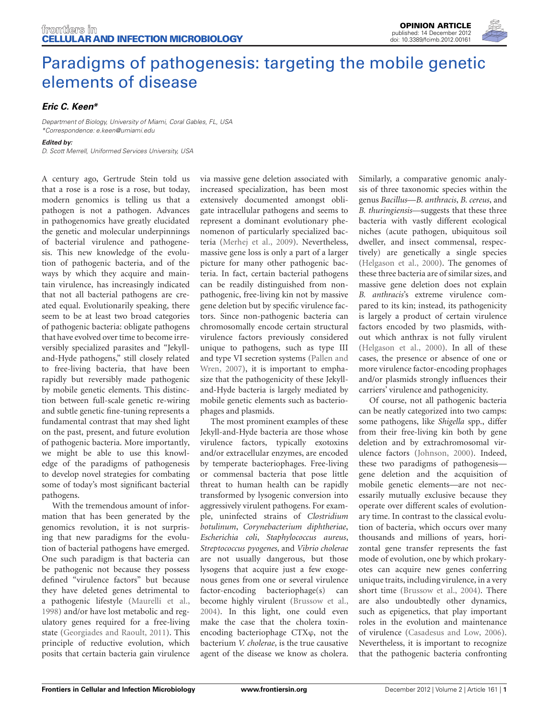

## [Paradigms of pathogenesis: targeting the mobile genetic](http://www.frontiersin.org/cellular_and_infection_microbiology/10.3389/fcimb.2012.00161/full) elements of disease

## *[Eric C. Keen\\*](http://www.frontiersin.org/Community/WhosWhoActivity.aspx?sname=EricKeen&UID=55230)*

*Department of Biology, University of Miami, Coral Gables, FL, USA \*Correspondence: e.keen@umiami.edu Edited by:*

*D. Scott Merrell, Uniformed Services University, USA*

A century ago, Gertrude Stein told us that a rose is a rose is a rose, but today, modern genomics is telling us that a pathogen is not a pathogen. Advances in pathogenomics have greatly elucidated the genetic and molecular underpinnings of bacterial virulence and pathogenesis. This new knowledge of the evolution of pathogenic bacteria, and of the ways by which they acquire and maintain virulence, has increasingly indicated that not all bacterial pathogens are created equal. Evolutionarily speaking, there seem to be at least two broad categories of pathogenic bacteria: obligate pathogens that have evolved over time to become irreversibly specialized parasites and "Jekylland-Hyde pathogens," still closely related to free-living bacteria, that have been rapidly but reversibly made pathogenic by mobile genetic elements. This distinction between full-scale genetic re-wiring and subtle genetic fine-tuning represents a fundamental contrast that may shed light on the past, present, and future evolution of pathogenic bacteria. More importantly, we might be able to use this knowledge of the paradigms of pathogenesis to develop novel strategies for combating some of today's most significant bacterial pathogens.

With the tremendous amount of information that has been generated by the genomics revolution, it is not surprising that new paradigms for the evolution of bacterial pathogens have emerged. One such paradigm is that bacteria can be pathogenic not because they possess defined "virulence factors" but because they have deleted genes detrimental to a pathogenic lifestyle [\(Maurelli et al.,](#page-2-0) [1998](#page-2-0)) and/or have lost metabolic and regulatory genes required for a free-living state [\(Georgiades and Raoult](#page-2-1), [2011](#page-2-1)). This principle of reductive evolution, which posits that certain bacteria gain virulence

via massive gene deletion associated with increased specialization, has been most extensively documented amongst obligate intracellular pathogens and seems to represent a dominant evolutionary phenomenon of particularly specialized bacteria [\(Merhej et al.](#page-2-2), [2009\)](#page-2-2). Nevertheless, massive gene loss is only a part of a larger picture for many other pathogenic bacteria. In fact, certain bacterial pathogens can be readily distinguished from nonpathogenic, free-living kin not by massive gene deletion but by specific virulence factors. Since non-pathogenic bacteria can chromosomally encode certain structural virulence factors previously considered unique to pathogens, such as type III and t[ype VI secretion systems \(](#page-2-3)Pallen and Wren, [2007\)](#page-2-3), it is important to emphasize that the pathogenicity of these Jekylland-Hyde bacteria is largely mediated by mobile genetic elements such as bacteriophages and plasmids.

The most prominent examples of these Jekyll-and-Hyde bacteria are those whose virulence factors, typically exotoxins and/or extracellular enzymes, are encoded by temperate bacteriophages. Free-living or commensal bacteria that pose little threat to human health can be rapidly transformed by lysogenic conversion into aggressively virulent pathogens. For example, uninfected strains of *Clostridium botulinum*, *Corynebacterium diphtheriae*, *Escherichia coli*, *Staphylococcus aureus*, *Streptococcus pyogenes*, and *Vibrio cholerae* are not usually dangerous, but those lysogens that acquire just a few exogenous genes from one or several virulence factor-encoding bacteriophage(s) can become highly virulent [\(Brussow et al.,](#page-2-4) [2004](#page-2-4)). In this light, one could even make the case that the cholera toxinencoding bacteriophage CTXϕ, not the bacterium *V. cholerae*, is the true causative agent of the disease we know as cholera. Similarly, a comparative genomic analysis of three taxonomic species within the genus *Bacillus*—*B. anthracis*, *B. cereus*, and *B. thuringiensis—*suggests that these three bacteria with vastly different ecological niches (acute pathogen, ubiquitous soil dweller, and insect commensal, respectively) are genetically a single species [\(Helgason et al., 2000](#page-2-5)). The genomes of these three bacteria are of similar sizes, and massive gene deletion does not explain *B. anthracis*'s extreme virulence compared to its kin; instead, its pathogenicity is largely a product of certain virulence factors encoded by two plasmids, without which anthrax is not fully virulent [\(Helgason et al.](#page-2-5), [2000](#page-2-5)). In all of these cases, the presence or absence of one or more virulence factor-encoding prophages and/or plasmids strongly influences their carriers' virulence and pathogenicity.

Of course, not all pathogenic bacteria can be neatly categorized into two camps: some pathogens, like *Shigella* spp., differ from their free-living kin both by gene deletion and by extrachromosomal virulence factors [\(Johnson, 2000](#page-2-6)). Indeed, these two paradigms of pathogenesis gene deletion and the acquisition of mobile genetic elements—are not necessarily mutually exclusive because they operate over different scales of evolutionary time. In contrast to the classical evolution of bacteria, which occurs over many thousands and millions of years, horizontal gene transfer represents the fast mode of evolution, one by which prokaryotes can acquire new genes conferring unique traits, including virulence, in a very short time [\(Brussow et al., 2004\)](#page-2-4). There are also undoubtedly other dynamics, such as epigenetics, that play important roles in the evolution and maintenance of virulence [\(Casadesus and Low, 2006\)](#page-2-7). Nevertheless, it is important to recognize that the pathogenic bacteria confronting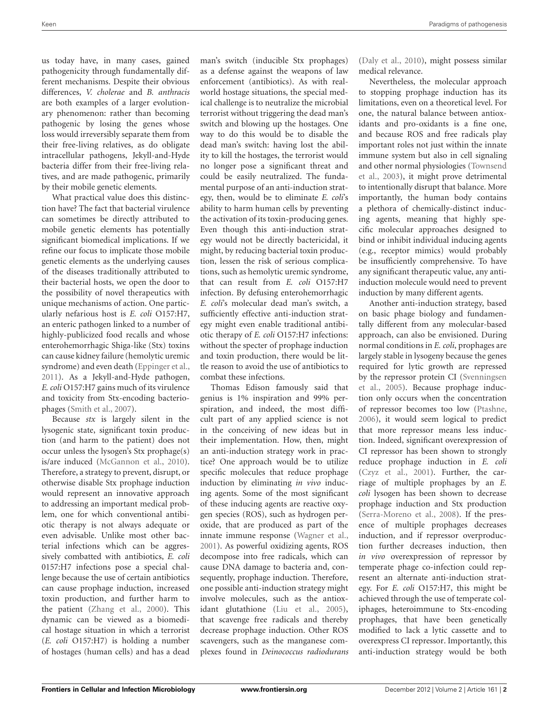us today have, in many cases, gained pathogenicity through fundamentally different mechanisms. Despite their obvious differences, *V. cholerae* and *B. anthracis* are both examples of a larger evolutionary phenomenon: rather than becoming pathogenic by losing the genes whose loss would irreversibly separate them from their free-living relatives, as do obligate intracellular pathogens, Jekyll-and-Hyde bacteria differ from their free-living relatives, and are made pathogenic, primarily by their mobile genetic elements.

What practical value does this distinction have? The fact that bacterial virulence can sometimes be directly attributed to mobile genetic elements has potentially significant biomedical implications. If we refine our focus to implicate those mobile genetic elements as the underlying causes of the diseases traditionally attributed to their bacterial hosts, we open the door to the possibility of novel therapeutics with unique mechanisms of action. One particularly nefarious host is *E. coli* O157:H7, an enteric pathogen linked to a number of highly-publicized food recalls and whose enterohemorrhagic Shiga-like (Stx) toxins can cause kidney failure (hemolytic uremic syndrome) and even death [\(Eppinger et al.,](#page-2-8) [2011](#page-2-8)). As a Jekyll-and-Hyde pathogen, *E. coli* O157:H7 gains much of its virulence and toxicity from Stx-encoding bacteriophages [\(Smith et al., 2007](#page-2-9)).

Because *stx* is largely silent in the lysogenic state, significant toxin production (and harm to the patient) does not occur unless the lysogen's Stx prophage(s) is/are induced [\(McGannon et al., 2010\)](#page-2-10). Therefore, a strategy to prevent, disrupt, or otherwise disable Stx prophage induction would represent an innovative approach to addressing an important medical problem, one for which conventional antibiotic therapy is not always adequate or even advisable. Unlike most other bacterial infections which can be aggressively combatted with antibiotics, *E. coli* 0157:H7 infections pose a special challenge because the use of certain antibiotics can cause prophage induction, increased toxin production, and further harm to the patient [\(Zhang et al.](#page-2-11), [2000](#page-2-11)). This dynamic can be viewed as a biomedical hostage situation in which a terrorist (*E. coli* O157:H7) is holding a number of hostages (human cells) and has a dead man's switch (inducible Stx prophages) as a defense against the weapons of law enforcement (antibiotics). As with realworld hostage situations, the special medical challenge is to neutralize the microbial terrorist without triggering the dead man's switch and blowing up the hostages. One way to do this would be to disable the dead man's switch: having lost the ability to kill the hostages, the terrorist would no longer pose a significant threat and could be easily neutralized. The fundamental purpose of an anti-induction strategy, then, would be to eliminate *E. coli*'s ability to harm human cells by preventing the activation of its toxin-producing genes. Even though this anti-induction strategy would not be directly bactericidal, it might, by reducing bacterial toxin production, lessen the risk of serious complications, such as hemolytic uremic syndrome, that can result from *E. coli* O157:H7 infection. By defusing enterohemorrhagic *E. coli*'s molecular dead man's switch, a sufficiently effective anti-induction strategy might even enable traditional antibiotic therapy of *E. coli* O157:H7 infections: without the specter of prophage induction and toxin production, there would be little reason to avoid the use of antibiotics to combat these infections.

Thomas Edison famously said that genius is 1% inspiration and 99% perspiration, and indeed, the most difficult part of any applied science is not in the conceiving of new ideas but in their implementation. How, then, might an anti-induction strategy work in practice? One approach would be to utilize specific molecules that reduce prophage induction by eliminating *in vivo* inducing agents. Some of the most significant of these inducing agents are reactive oxygen species (ROS), such as hydrogen peroxide, that are produced as part of the innate immune response [\(Wagner et al.,](#page-2-12) [2001](#page-2-12)). As powerful oxidizing agents, ROS decompose into free radicals, which can cause DNA damage to bacteria and, consequently, prophage induction. Therefore, one possible anti-induction strategy might involve molecules, such as the antioxidant glutathione [\(Liu et al., 2005\)](#page-2-13), that scavenge free radicals and thereby decrease prophage induction. Other ROS scavengers, such as the manganese complexes found in *Deinococcus radiodurans* [\(Daly et al.](#page-2-14), [2010\)](#page-2-14), might possess similar medical relevance.

Nevertheless, the molecular approach to stopping prophage induction has its limitations, even on a theoretical level. For one, the natural balance between antioxidants and pro-oxidants is a fine one, and because ROS and free radicals play important roles not just within the innate immune system but also in cell signaling and [other normal physiologies \(](#page-2-15)Townsend et al., [2003](#page-2-15)), it might prove detrimental to intentionally disrupt that balance. More importantly, the human body contains a plethora of chemically-distinct inducing agents, meaning that highly specific molecular approaches designed to bind or inhibit individual inducing agents (e.g., receptor mimics) would probably be insufficiently comprehensive. To have any significant therapeutic value, any antiinduction molecule would need to prevent induction by many different agents.

Another anti-induction strategy, based on basic phage biology and fundamentally different from any molecular-based approach, can also be envisioned. During normal conditions in *E. coli*, prophages are largely stable in lysogeny because the genes required for lytic growth are repressed by th[e repressor protein CI \(](#page-2-16)Svenningsen et al., [2005](#page-2-16)). Because prophage induction only occurs when the concentration of repressor becomes too low [\(Ptashne](#page-2-17), [2006](#page-2-17)), it would seem logical to predict that more repressor means less induction. Indeed, significant overexpression of CI repressor has been shown to strongly reduce prophage induction in *E. coli* [\(Czyz et al., 2001\)](#page-2-18). Further, the carriage of multiple prophages by an *E. coli* lysogen has been shown to decrease prophage induction and Stx production [\(Serra-Moreno et al.](#page-2-19), [2008\)](#page-2-19). If the presence of multiple prophages decreases induction, and if repressor overproduction further decreases induction, then *in vivo* overexpression of repressor by temperate phage co-infection could represent an alternate anti-induction strategy. For *E. coli* O157:H7, this might be achieved through the use of temperate coliphages, heteroimmune to Stx-encoding prophages, that have been genetically modified to lack a lytic cassette and to overexpress CI repressor. Importantly, this anti-induction strategy would be both